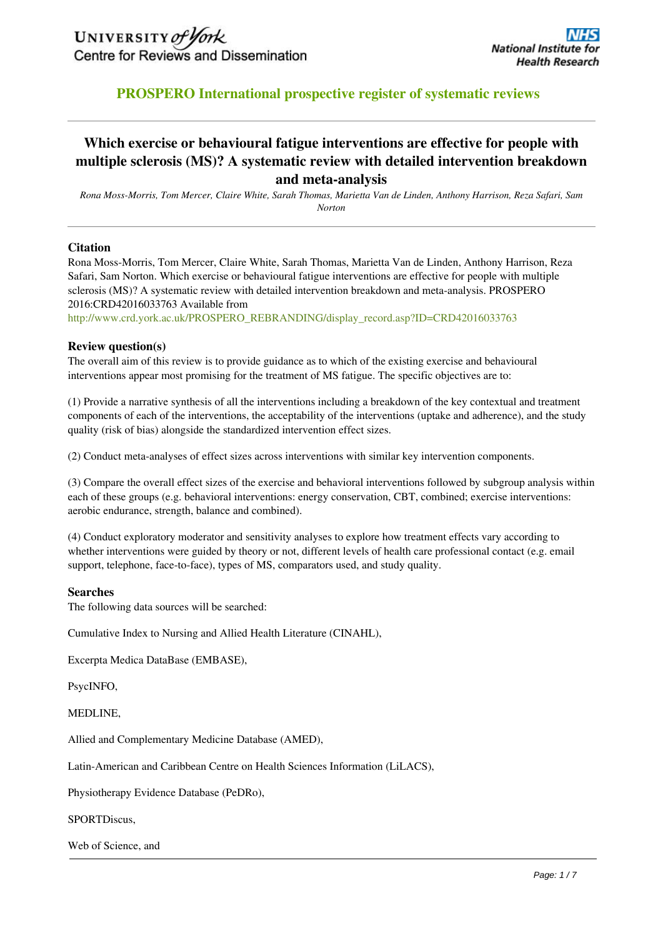## **PROSPERO International prospective register of systematic reviews**

## **Which exercise or behavioural fatigue interventions are effective for people with multiple sclerosis (MS)? A systematic review with detailed intervention breakdown and meta-analysis**

*Rona Moss-Morris, Tom Mercer, Claire White, Sarah Thomas, Marietta Van de Linden, Anthony Harrison, Reza Safari, Sam Norton*

## **Citation**

Rona Moss-Morris, Tom Mercer, Claire White, Sarah Thomas, Marietta Van de Linden, Anthony Harrison, Reza Safari, Sam Norton. Which exercise or behavioural fatigue interventions are effective for people with multiple sclerosis (MS)? A systematic review with detailed intervention breakdown and meta-analysis. PROSPERO 2016:CRD42016033763 Available from

[http://www.crd.york.ac.uk/PROSPERO\\_REBRANDING/display\\_record.asp?ID=CRD42016033763](http://www.crd.york.ac.uk/PROSPERO/display_record.asp?ID=CRD42016033763) 

#### **Review question(s)**

The overall aim of this review is to provide guidance as to which of the existing exercise and behavioural interventions appear most promising for the treatment of MS fatigue. The specific objectives are to:

(1) Provide a narrative synthesis of all the interventions including a breakdown of the key contextual and treatment components of each of the interventions, the acceptability of the interventions (uptake and adherence), and the study quality (risk of bias) alongside the standardized intervention effect sizes.

(2) Conduct meta-analyses of effect sizes across interventions with similar key intervention components.

(3) Compare the overall effect sizes of the exercise and behavioral interventions followed by subgroup analysis within each of these groups (e.g. behavioral interventions: energy conservation, CBT, combined; exercise interventions: aerobic endurance, strength, balance and combined).

(4) Conduct exploratory moderator and sensitivity analyses to explore how treatment effects vary according to whether interventions were guided by theory or not, different levels of health care professional contact (e.g. email support, telephone, face-to-face), types of MS, comparators used, and study quality.

#### **Searches**

The following data sources will be searched:

Cumulative Index to Nursing and Allied Health Literature (CINAHL),

Excerpta Medica DataBase (EMBASE),

PsycINFO,

MEDLINE,

Allied and Complementary Medicine Database (AMED),

Latin-American and Caribbean Centre on Health Sciences Information (LiLACS),

Physiotherapy Evidence Database (PeDRo),

SPORTDiscus,

Web of Science, and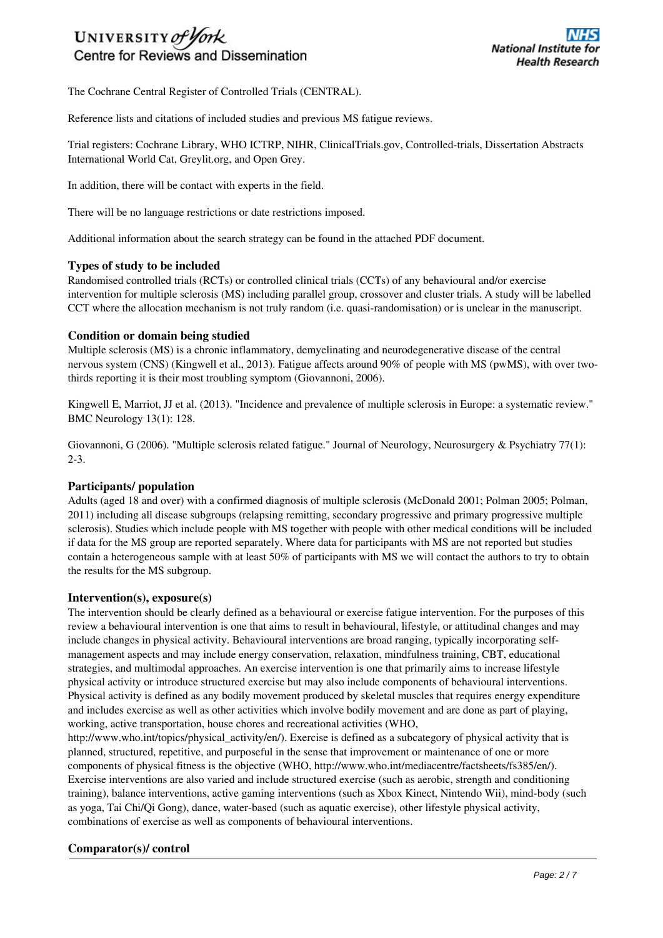# UNIVERSITY of York Centre for Reviews and Dissemination

The Cochrane Central Register of Controlled Trials (CENTRAL).

Reference lists and citations of included studies and previous MS fatigue reviews.

Trial registers: Cochrane Library, WHO ICTRP, NIHR, ClinicalTrials.gov, Controlled-trials, Dissertation Abstracts International World Cat, Greylit.org, and Open Grey.

In addition, there will be contact with experts in the field.

There will be no language restrictions or date restrictions imposed.

Additional information about the search strategy can be found in the attached PDF document.

## **Types of study to be included**

Randomised controlled trials (RCTs) or controlled clinical trials (CCTs) of any behavioural and/or exercise intervention for multiple sclerosis (MS) including parallel group, crossover and cluster trials. A study will be labelled CCT where the allocation mechanism is not truly random (i.e. quasi-randomisation) or is unclear in the manuscript.

## **Condition or domain being studied**

Multiple sclerosis (MS) is a chronic inflammatory, demyelinating and neurodegenerative disease of the central nervous system (CNS) (Kingwell et al., 2013). Fatigue affects around 90% of people with MS (pwMS), with over twothirds reporting it is their most troubling symptom (Giovannoni, 2006).

Kingwell E, Marriot, JJ et al. (2013). "Incidence and prevalence of multiple sclerosis in Europe: a systematic review." BMC Neurology 13(1): 128.

Giovannoni, G (2006). "Multiple sclerosis related fatigue." Journal of Neurology, Neurosurgery & Psychiatry 77(1): 2-3.

## **Participants/ population**

Adults (aged 18 and over) with a confirmed diagnosis of multiple sclerosis (McDonald 2001; Polman 2005; Polman, 2011) including all disease subgroups (relapsing remitting, secondary progressive and primary progressive multiple sclerosis). Studies which include people with MS together with people with other medical conditions will be included if data for the MS group are reported separately. Where data for participants with MS are not reported but studies contain a heterogeneous sample with at least 50% of participants with MS we will contact the authors to try to obtain the results for the MS subgroup.

#### **Intervention(s), exposure(s)**

The intervention should be clearly defined as a behavioural or exercise fatigue intervention. For the purposes of this review a behavioural intervention is one that aims to result in behavioural, lifestyle, or attitudinal changes and may include changes in physical activity. Behavioural interventions are broad ranging, typically incorporating selfmanagement aspects and may include energy conservation, relaxation, mindfulness training, CBT, educational strategies, and multimodal approaches. An exercise intervention is one that primarily aims to increase lifestyle physical activity or introduce structured exercise but may also include components of behavioural interventions. Physical activity is defined as any bodily movement produced by skeletal muscles that requires energy expenditure and includes exercise as well as other activities which involve bodily movement and are done as part of playing, working, active transportation, house chores and recreational activities (WHO,

http://www.who.int/topics/physical\_activity/en/). Exercise is defined as a subcategory of physical activity that is planned, structured, repetitive, and purposeful in the sense that improvement or maintenance of one or more components of physical fitness is the objective (WHO, http://www.who.int/mediacentre/factsheets/fs385/en/). Exercise interventions are also varied and include structured exercise (such as aerobic, strength and conditioning training), balance interventions, active gaming interventions (such as Xbox Kinect, Nintendo Wii), mind-body (such as yoga, Tai Chi/Qi Gong), dance, water-based (such as aquatic exercise), other lifestyle physical activity, combinations of exercise as well as components of behavioural interventions.

## **Comparator(s)/ control**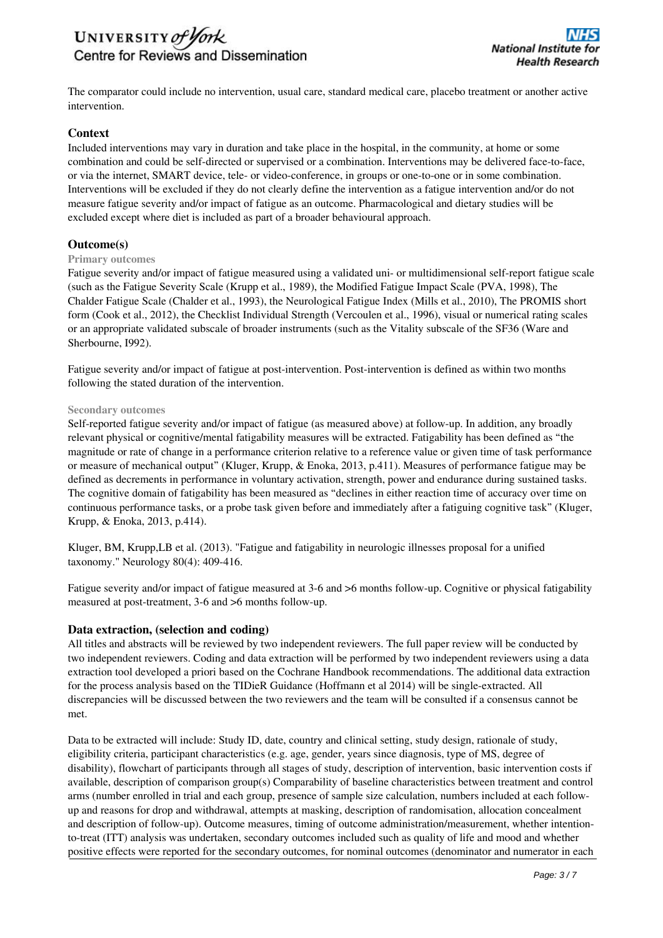

The comparator could include no intervention, usual care, standard medical care, placebo treatment or another active intervention.

## **Context**

Included interventions may vary in duration and take place in the hospital, in the community, at home or some combination and could be self-directed or supervised or a combination. Interventions may be delivered face-to-face, or via the internet, SMART device, tele- or video-conference, in groups or one-to-one or in some combination. Interventions will be excluded if they do not clearly define the intervention as a fatigue intervention and/or do not measure fatigue severity and/or impact of fatigue as an outcome. Pharmacological and dietary studies will be excluded except where diet is included as part of a broader behavioural approach.

## **Outcome(s)**

#### **Primary outcomes**

Fatigue severity and/or impact of fatigue measured using a validated uni- or multidimensional self-report fatigue scale (such as the Fatigue Severity Scale (Krupp et al., 1989), the Modified Fatigue Impact Scale (PVA, 1998), The Chalder Fatigue Scale (Chalder et al., 1993), the Neurological Fatigue Index (Mills et al., 2010), The PROMIS short form (Cook et al., 2012), the Checklist Individual Strength (Vercoulen et al., 1996), visual or numerical rating scales or an appropriate validated subscale of broader instruments (such as the Vitality subscale of the SF36 (Ware and Sherbourne, I992).

Fatigue severity and/or impact of fatigue at post-intervention. Post-intervention is defined as within two months following the stated duration of the intervention.

#### **Secondary outcomes**

Self-reported fatigue severity and/or impact of fatigue (as measured above) at follow-up. In addition, any broadly relevant physical or cognitive/mental fatigability measures will be extracted. Fatigability has been defined as "the magnitude or rate of change in a performance criterion relative to a reference value or given time of task performance or measure of mechanical output" (Kluger, Krupp, & Enoka, 2013, p.411). Measures of performance fatigue may be defined as decrements in performance in voluntary activation, strength, power and endurance during sustained tasks. The cognitive domain of fatigability has been measured as "declines in either reaction time of accuracy over time on continuous performance tasks, or a probe task given before and immediately after a fatiguing cognitive task" (Kluger, Krupp, & Enoka, 2013, p.414).

Kluger, BM, Krupp,LB et al. (2013). "Fatigue and fatigability in neurologic illnesses proposal for a unified taxonomy." Neurology 80(4): 409-416.

Fatigue severity and/or impact of fatigue measured at 3-6 and >6 months follow-up. Cognitive or physical fatigability measured at post-treatment, 3-6 and >6 months follow-up.

#### **Data extraction, (selection and coding)**

All titles and abstracts will be reviewed by two independent reviewers. The full paper review will be conducted by two independent reviewers. Coding and data extraction will be performed by two independent reviewers using a data extraction tool developed a priori based on the Cochrane Handbook recommendations. The additional data extraction for the process analysis based on the TIDieR Guidance (Hoffmann et al 2014) will be single-extracted. All discrepancies will be discussed between the two reviewers and the team will be consulted if a consensus cannot be met.

Data to be extracted will include: Study ID, date, country and clinical setting, study design, rationale of study, eligibility criteria, participant characteristics (e.g. age, gender, years since diagnosis, type of MS, degree of disability), flowchart of participants through all stages of study, description of intervention, basic intervention costs if available, description of comparison group(s) Comparability of baseline characteristics between treatment and control arms (number enrolled in trial and each group, presence of sample size calculation, numbers included at each followup and reasons for drop and withdrawal, attempts at masking, description of randomisation, allocation concealment and description of follow-up). Outcome measures, timing of outcome administration/measurement, whether intentionto-treat (ITT) analysis was undertaken, secondary outcomes included such as quality of life and mood and whether positive effects were reported for the secondary outcomes, for nominal outcomes (denominator and numerator in each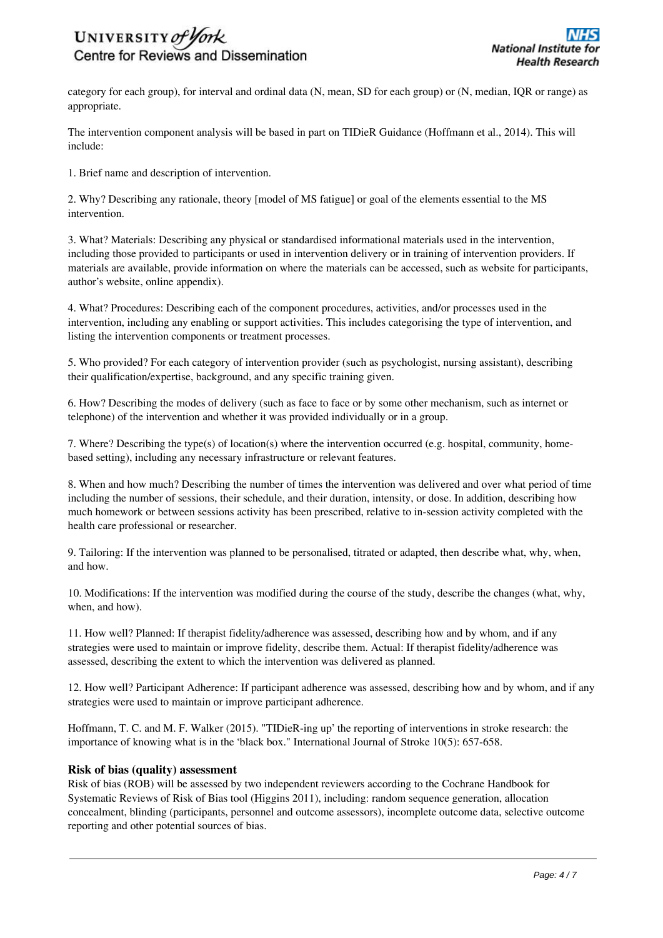

category for each group), for interval and ordinal data (N, mean, SD for each group) or (N, median, IQR or range) as appropriate.

The intervention component analysis will be based in part on TIDieR Guidance (Hoffmann et al., 2014). This will include:

1. Brief name and description of intervention.

2. Why? Describing any rationale, theory [model of MS fatigue] or goal of the elements essential to the MS intervention.

3. What? Materials: Describing any physical or standardised informational materials used in the intervention, including those provided to participants or used in intervention delivery or in training of intervention providers. If materials are available, provide information on where the materials can be accessed, such as website for participants, author's website, online appendix).

4. What? Procedures: Describing each of the component procedures, activities, and/or processes used in the intervention, including any enabling or support activities. This includes categorising the type of intervention, and listing the intervention components or treatment processes.

5. Who provided? For each category of intervention provider (such as psychologist, nursing assistant), describing their qualification/expertise, background, and any specific training given.

6. How? Describing the modes of delivery (such as face to face or by some other mechanism, such as internet or telephone) of the intervention and whether it was provided individually or in a group.

7. Where? Describing the type(s) of location(s) where the intervention occurred (e.g. hospital, community, homebased setting), including any necessary infrastructure or relevant features.

8. When and how much? Describing the number of times the intervention was delivered and over what period of time including the number of sessions, their schedule, and their duration, intensity, or dose. In addition, describing how much homework or between sessions activity has been prescribed, relative to in-session activity completed with the health care professional or researcher.

9. Tailoring: If the intervention was planned to be personalised, titrated or adapted, then describe what, why, when, and how.

10. Modifications: If the intervention was modified during the course of the study, describe the changes (what, why, when, and how).

11. How well? Planned: If therapist fidelity/adherence was assessed, describing how and by whom, and if any strategies were used to maintain or improve fidelity, describe them. Actual: If therapist fidelity/adherence was assessed, describing the extent to which the intervention was delivered as planned.

12. How well? Participant Adherence: If participant adherence was assessed, describing how and by whom, and if any strategies were used to maintain or improve participant adherence.

Hoffmann, T. C. and M. F. Walker (2015). "TIDieR-ing up' the reporting of interventions in stroke research: the importance of knowing what is in the 'black box." International Journal of Stroke 10(5): 657-658.

#### **Risk of bias (quality) assessment**

Risk of bias (ROB) will be assessed by two independent reviewers according to the Cochrane Handbook for Systematic Reviews of Risk of Bias tool (Higgins 2011), including: random sequence generation, allocation concealment, blinding (participants, personnel and outcome assessors), incomplete outcome data, selective outcome reporting and other potential sources of bias.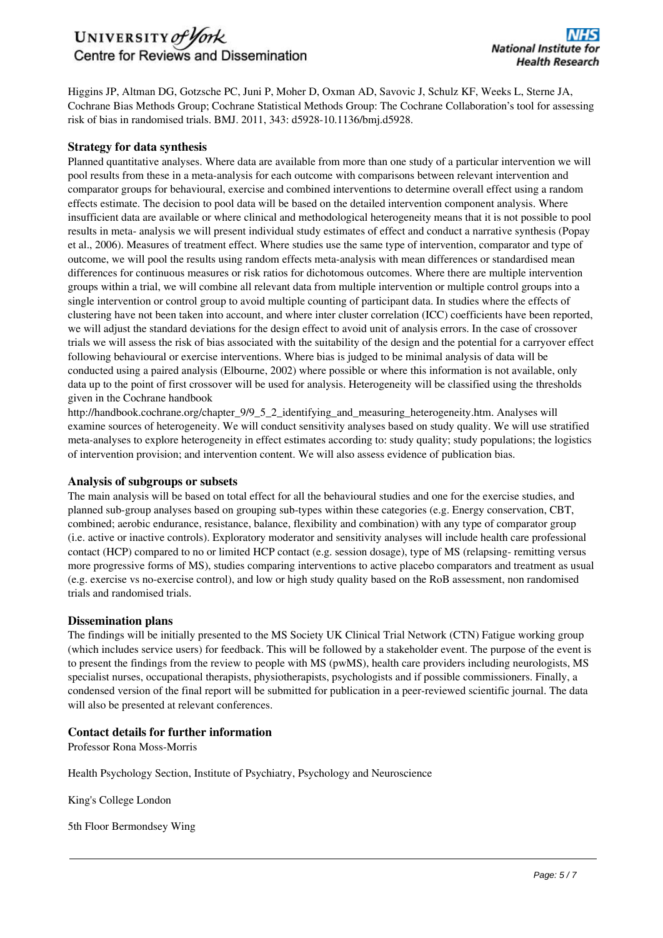## UNIVERSITY of York Centre for Reviews and Dissemination

Higgins JP, Altman DG, Gotzsche PC, Juni P, Moher D, Oxman AD, Savovic J, Schulz KF, Weeks L, Sterne JA, Cochrane Bias Methods Group; Cochrane Statistical Methods Group: The Cochrane Collaboration's tool for assessing risk of bias in randomised trials. BMJ. 2011, 343: d5928-10.1136/bmj.d5928.

## **Strategy for data synthesis**

Planned quantitative analyses. Where data are available from more than one study of a particular intervention we will pool results from these in a meta-analysis for each outcome with comparisons between relevant intervention and comparator groups for behavioural, exercise and combined interventions to determine overall effect using a random effects estimate. The decision to pool data will be based on the detailed intervention component analysis. Where insufficient data are available or where clinical and methodological heterogeneity means that it is not possible to pool results in meta- analysis we will present individual study estimates of effect and conduct a narrative synthesis (Popay et al., 2006). Measures of treatment effect. Where studies use the same type of intervention, comparator and type of outcome, we will pool the results using random effects meta-analysis with mean differences or standardised mean differences for continuous measures or risk ratios for dichotomous outcomes. Where there are multiple intervention groups within a trial, we will combine all relevant data from multiple intervention or multiple control groups into a single intervention or control group to avoid multiple counting of participant data. In studies where the effects of clustering have not been taken into account, and where inter cluster correlation (ICC) coefficients have been reported, we will adjust the standard deviations for the design effect to avoid unit of analysis errors. In the case of crossover trials we will assess the risk of bias associated with the suitability of the design and the potential for a carryover effect following behavioural or exercise interventions. Where bias is judged to be minimal analysis of data will be conducted using a paired analysis (Elbourne, 2002) where possible or where this information is not available, only data up to the point of first crossover will be used for analysis. Heterogeneity will be classified using the thresholds given in the Cochrane handbook

http://handbook.cochrane.org/chapter\_9/9\_5\_2\_identifying\_and\_measuring\_heterogeneity.htm. Analyses will examine sources of heterogeneity. We will conduct sensitivity analyses based on study quality. We will use stratified meta-analyses to explore heterogeneity in effect estimates according to: study quality; study populations; the logistics of intervention provision; and intervention content. We will also assess evidence of publication bias.

## **Analysis of subgroups or subsets**

The main analysis will be based on total effect for all the behavioural studies and one for the exercise studies, and planned sub-group analyses based on grouping sub-types within these categories (e.g. Energy conservation, CBT, combined; aerobic endurance, resistance, balance, flexibility and combination) with any type of comparator group (i.e. active or inactive controls). Exploratory moderator and sensitivity analyses will include health care professional contact (HCP) compared to no or limited HCP contact (e.g. session dosage), type of MS (relapsing- remitting versus more progressive forms of MS), studies comparing interventions to active placebo comparators and treatment as usual (e.g. exercise vs no-exercise control), and low or high study quality based on the RoB assessment, non randomised trials and randomised trials.

## **Dissemination plans**

The findings will be initially presented to the MS Society UK Clinical Trial Network (CTN) Fatigue working group (which includes service users) for feedback. This will be followed by a stakeholder event. The purpose of the event is to present the findings from the review to people with MS (pwMS), health care providers including neurologists, MS specialist nurses, occupational therapists, physiotherapists, psychologists and if possible commissioners. Finally, a condensed version of the final report will be submitted for publication in a peer-reviewed scientific journal. The data will also be presented at relevant conferences.

## **Contact details for further information**

Professor Rona Moss-Morris

Health Psychology Section, Institute of Psychiatry, Psychology and Neuroscience

King's College London

5th Floor Bermondsey Wing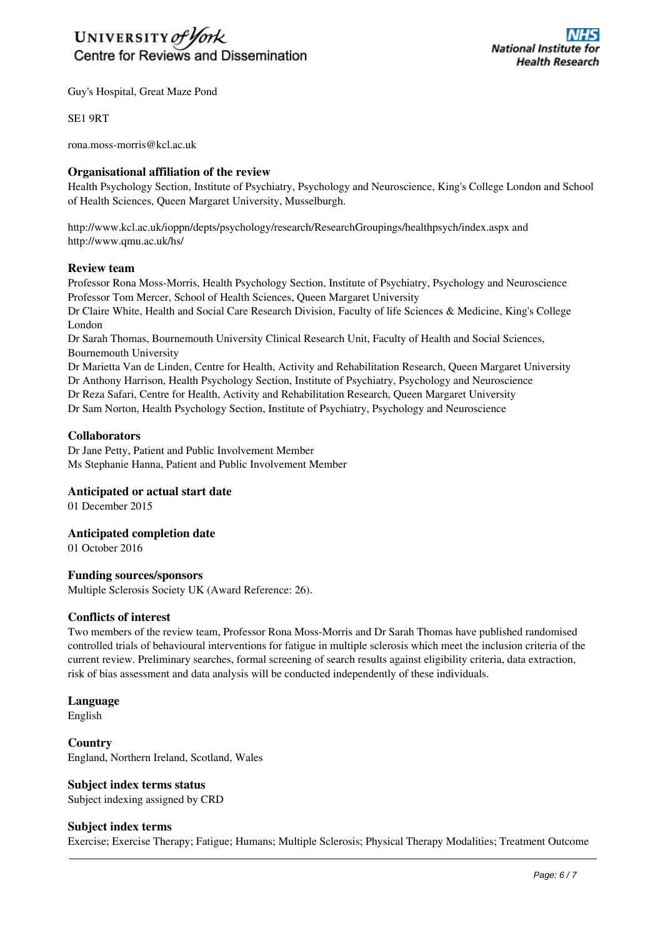

Guy's Hospital, Great Maze Pond

SE1 9RT

rona.moss-morris@kcl.ac.uk

## **Organisational affiliation of the review**

Health Psychology Section, Institute of Psychiatry, Psychology and Neuroscience, King's College London and School of Health Sciences, Queen Margaret University, Musselburgh.

http://www.kcl.ac.uk/ioppn/depts/psychology/research/ResearchGroupings/healthpsych/index.aspx and http://www.qmu.ac.uk/hs/

## **Review team**

Professor Rona Moss-Morris, Health Psychology Section, Institute of Psychiatry, Psychology and Neuroscience Professor Tom Mercer, School of Health Sciences, Queen Margaret University

Dr Claire White, Health and Social Care Research Division, Faculty of life Sciences & Medicine, King's College London

Dr Sarah Thomas, Bournemouth University Clinical Research Unit, Faculty of Health and Social Sciences, Bournemouth University

Dr Marietta Van de Linden, Centre for Health, Activity and Rehabilitation Research, Queen Margaret University Dr Anthony Harrison, Health Psychology Section, Institute of Psychiatry, Psychology and Neuroscience

Dr Reza Safari, Centre for Health, Activity and Rehabilitation Research, Queen Margaret University

Dr Sam Norton, Health Psychology Section, Institute of Psychiatry, Psychology and Neuroscience

#### **Collaborators**

Dr Jane Petty, Patient and Public Involvement Member Ms Stephanie Hanna, Patient and Public Involvement Member

## **Anticipated or actual start date**

01 December 2015

## **Anticipated completion date**

01 October 2016

#### **Funding sources/sponsors**

Multiple Sclerosis Society UK (Award Reference: 26).

#### **Conflicts of interest**

Two members of the review team, Professor Rona Moss-Morris and Dr Sarah Thomas have published randomised controlled trials of behavioural interventions for fatigue in multiple sclerosis which meet the inclusion criteria of the current review. Preliminary searches, formal screening of search results against eligibility criteria, data extraction, risk of bias assessment and data analysis will be conducted independently of these individuals.

## **Language**

English

## **Country**

England, Northern Ireland, Scotland, Wales

## **Subject index terms status**

Subject indexing assigned by CRD

#### **Subject index terms**

Exercise; Exercise Therapy; Fatigue; Humans; Multiple Sclerosis; Physical Therapy Modalities; Treatment Outcome